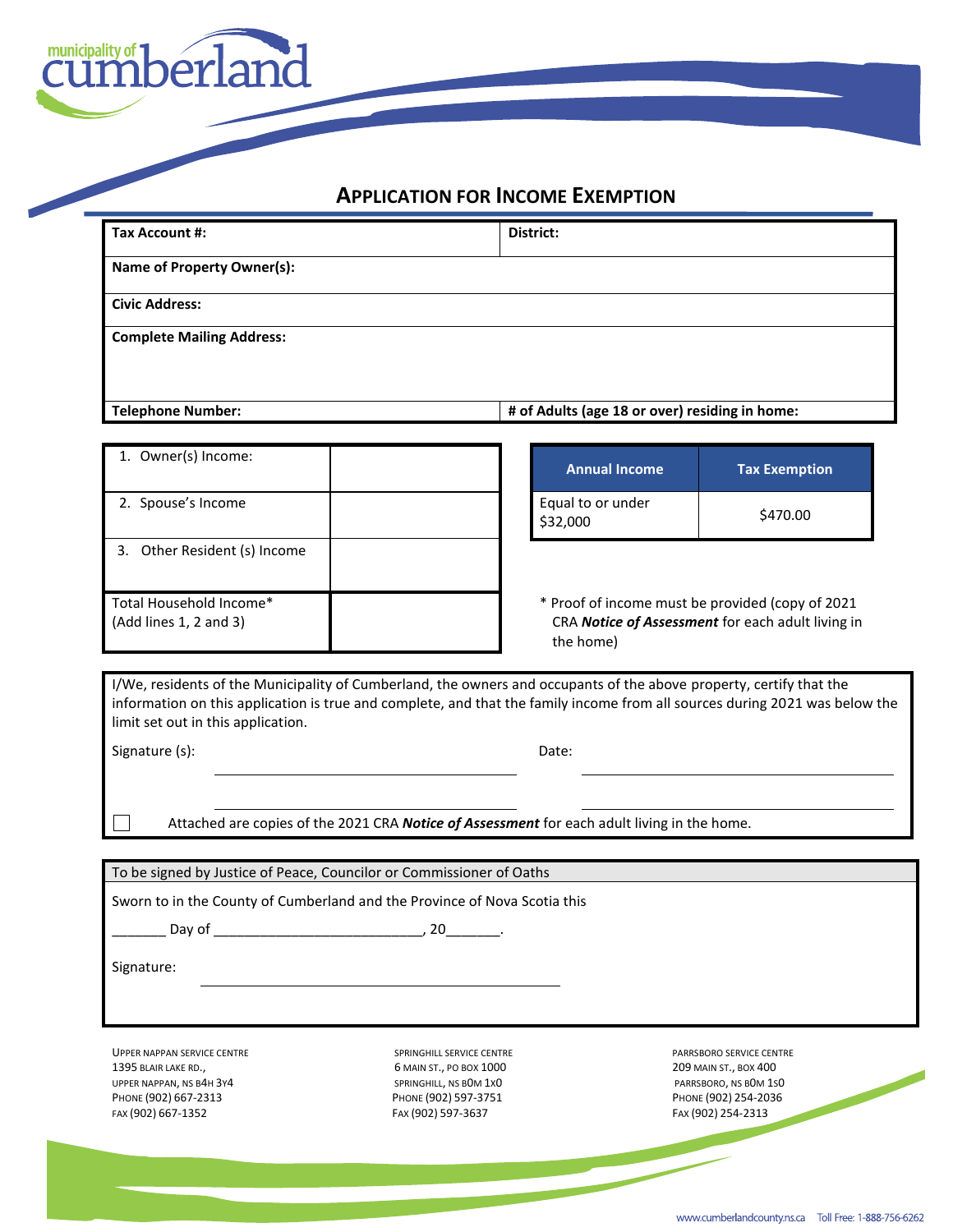

## **APPLICATION FOR INCOME EXEMPTION**

| <b>Tax Account #:</b>                                                                                                                                                                                                                                                                                       |                                                                                                                    | District:                                                                                   |                                                                     |  |  |
|-------------------------------------------------------------------------------------------------------------------------------------------------------------------------------------------------------------------------------------------------------------------------------------------------------------|--------------------------------------------------------------------------------------------------------------------|---------------------------------------------------------------------------------------------|---------------------------------------------------------------------|--|--|
| <b>Name of Property Owner(s):</b>                                                                                                                                                                                                                                                                           |                                                                                                                    |                                                                                             |                                                                     |  |  |
| <b>Civic Address:</b>                                                                                                                                                                                                                                                                                       |                                                                                                                    |                                                                                             |                                                                     |  |  |
| <b>Complete Mailing Address:</b>                                                                                                                                                                                                                                                                            |                                                                                                                    |                                                                                             |                                                                     |  |  |
| <b>Telephone Number:</b>                                                                                                                                                                                                                                                                                    |                                                                                                                    | # of Adults (age 18 or over) residing in home:                                              |                                                                     |  |  |
|                                                                                                                                                                                                                                                                                                             |                                                                                                                    |                                                                                             |                                                                     |  |  |
| 1. Owner(s) Income:                                                                                                                                                                                                                                                                                         |                                                                                                                    | <b>Annual Income</b>                                                                        | <b>Tax Exemption</b>                                                |  |  |
| 2. Spouse's Income                                                                                                                                                                                                                                                                                          |                                                                                                                    | Equal to or under<br>\$32,000                                                               | \$470.00                                                            |  |  |
| 3. Other Resident (s) Income                                                                                                                                                                                                                                                                                |                                                                                                                    |                                                                                             |                                                                     |  |  |
|                                                                                                                                                                                                                                                                                                             | * Proof of income must be provided (copy of 2021<br>CRA Notice of Assessment for each adult living in<br>the home) |                                                                                             |                                                                     |  |  |
| Total Household Income*<br>(Add lines 1, 2 and 3)<br>I/We, residents of the Municipality of Cumberland, the owners and occupants of the above property, certify that the<br>information on this application is true and complete, and that the family income from all sources during 2021 was below the     |                                                                                                                    |                                                                                             |                                                                     |  |  |
| limit set out in this application.<br>Signature (s):                                                                                                                                                                                                                                                        |                                                                                                                    | Date:                                                                                       |                                                                     |  |  |
|                                                                                                                                                                                                                                                                                                             |                                                                                                                    |                                                                                             |                                                                     |  |  |
|                                                                                                                                                                                                                                                                                                             |                                                                                                                    | Attached are copies of the 2021 CRA Notice of Assessment for each adult living in the home. |                                                                     |  |  |
|                                                                                                                                                                                                                                                                                                             |                                                                                                                    |                                                                                             |                                                                     |  |  |
| To be signed by Justice of Peace, Councilor or Commissioner of Oaths                                                                                                                                                                                                                                        |                                                                                                                    |                                                                                             |                                                                     |  |  |
| Sworn to in the County of Cumberland and the Province of Nova Scotia this<br>Day of the contract of the contract of the contract of the contract of the contract of the contract of the contract of the contract of the contract of the contract of the contract of the contract of the contract of the con |                                                                                                                    |                                                                                             |                                                                     |  |  |
|                                                                                                                                                                                                                                                                                                             |                                                                                                                    |                                                                                             |                                                                     |  |  |
| Signature:                                                                                                                                                                                                                                                                                                  |                                                                                                                    |                                                                                             |                                                                     |  |  |
|                                                                                                                                                                                                                                                                                                             |                                                                                                                    |                                                                                             |                                                                     |  |  |
| <b>UPPER NAPPAN SERVICE CENTRE</b><br>1395 BLAIR LAKE RD.,                                                                                                                                                                                                                                                  | SPRINGHILL SERVICE CENTRE<br>6 MAIN ST., PO BOX 1000                                                               |                                                                                             | PARRSBORO SERVICE CENTRE<br>209 MAIN ST., BOX 400                   |  |  |
| UPPER NAPPAN, NS B4H 3Y4<br>PHONE (902) 667-2313<br>FAX (902) 667-1352                                                                                                                                                                                                                                      | SPRINGHILL, NS BOM 1XO<br>PHONE (902) 597-3751<br>FAX (902) 597-3637                                               |                                                                                             | PARRSBORO, NS BOM 1SO<br>PHONE (902) 254-2036<br>FAX (902) 254-2313 |  |  |